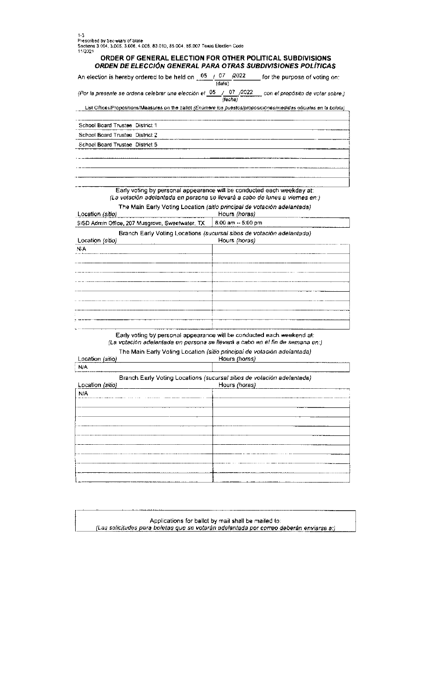| $1 - 3$<br>Prescribed by Secretary of State<br>Sections 3.004, 3.005, 3.006, 4.008, 83.010, 85.004, 85.007 Texas Election Code<br>11/2021 |                                                                                                                                                         |
|-------------------------------------------------------------------------------------------------------------------------------------------|---------------------------------------------------------------------------------------------------------------------------------------------------------|
|                                                                                                                                           | ORDER OF GENERAL ELECTION FOR OTHER POLITICAL SUBDIVISIONS<br>ORDEN DE ELECCIÓN GENERAL PARA OTRAS SUBDIVISIONES POLÍTICAS                              |
| An election is hereby ordered to be held on $\frac{05}{10}$ / $\frac{07}{10}$ / $\frac{2022}{100}$ for the purpose of voting on:          |                                                                                                                                                         |
|                                                                                                                                           | (Por la presente se ordena celebrar una elección el $\frac{05}{\sqrt{6\cosh\theta}}$ (19022 con el propósito de volar sobre.)                           |
|                                                                                                                                           | List Offices/Propositions/Measures on the ballot (Enúmere los puestos/proposiciones/medidas oficiales en la boleta)                                     |
| School Board Trustee District 1                                                                                                           |                                                                                                                                                         |
| School Board Trustee District 2                                                                                                           |                                                                                                                                                         |
| School Board Trustee District 5                                                                                                           |                                                                                                                                                         |
|                                                                                                                                           |                                                                                                                                                         |
|                                                                                                                                           | Early voting by personal appearance will be conducted each weekday at:<br>(La votación adelantada en persona se llevará a cabo de lunes a viernes en:)  |
| Location (sitio)                                                                                                                          | The Main Early Voting Location (sitio principal de votación adelantada)<br>Hours (horas)                                                                |
| SISD Admin Office, 207 Musgrove, Sweetwater, TX                                                                                           | 8:00 am $\sim$ 5:00 pm                                                                                                                                  |
| Location (sitio)                                                                                                                          | Branch Early Voting Locations (sucursal sitios de votación adelantada)<br>Hours (horas)                                                                 |
| N A                                                                                                                                       |                                                                                                                                                         |
|                                                                                                                                           |                                                                                                                                                         |
|                                                                                                                                           |                                                                                                                                                         |
|                                                                                                                                           |                                                                                                                                                         |
|                                                                                                                                           |                                                                                                                                                         |
|                                                                                                                                           |                                                                                                                                                         |
|                                                                                                                                           |                                                                                                                                                         |
|                                                                                                                                           |                                                                                                                                                         |
|                                                                                                                                           |                                                                                                                                                         |
|                                                                                                                                           | Early voting by personal appearance will be conducted each weekend at:<br>(La votación adelantada en persona se llevará a cabo en el fin de semana en:) |
|                                                                                                                                           | The Main Early Voting Location (sitio principal de votación adelantada)                                                                                 |
| Location (sitio)                                                                                                                          | Hours (horas)                                                                                                                                           |
| N/A                                                                                                                                       |                                                                                                                                                         |
|                                                                                                                                           | Branch Early Voting Locations (sucursal sitios de votación adelantada)                                                                                  |
| Location (sitio)<br>N/A                                                                                                                   | Hours (horas)                                                                                                                                           |
|                                                                                                                                           |                                                                                                                                                         |
|                                                                                                                                           |                                                                                                                                                         |
|                                                                                                                                           |                                                                                                                                                         |
|                                                                                                                                           |                                                                                                                                                         |
|                                                                                                                                           |                                                                                                                                                         |
|                                                                                                                                           |                                                                                                                                                         |
|                                                                                                                                           |                                                                                                                                                         |
|                                                                                                                                           |                                                                                                                                                         |
|                                                                                                                                           |                                                                                                                                                         |
|                                                                                                                                           |                                                                                                                                                         |
|                                                                                                                                           |                                                                                                                                                         |

Applications for ballot by mail shall be mailed to. Las solicitudes para boletas que se votarán adelantada por correo deberán enviarse a:)